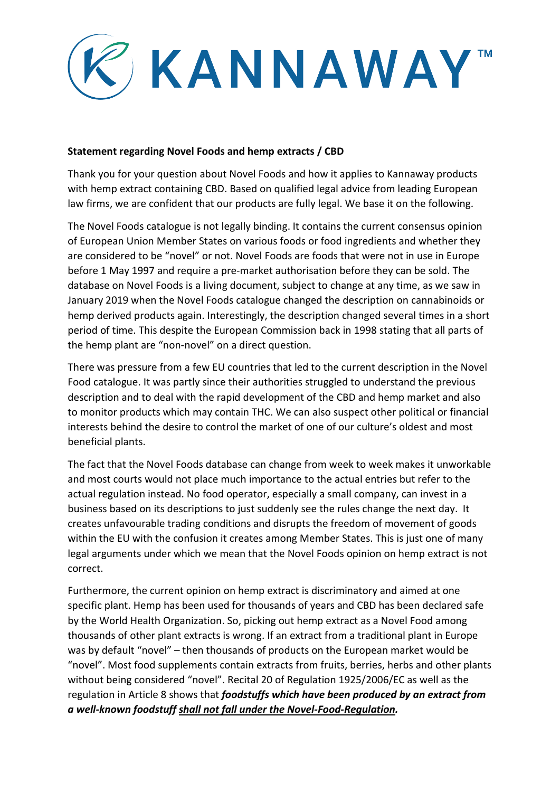

## **Statement regarding Novel Foods and hemp extracts / CBD**

Thank you for your question about Novel Foods and how it applies to Kannaway products with hemp extract containing CBD. Based on qualified legal advice from leading European law firms, we are confident that our products are fully legal. We base it on the following.

The Novel Foods catalogue is not legally binding. It contains the current consensus opinion of European Union Member States on various foods or food ingredients and whether they are considered to be "novel" or not. Novel Foods are foods that were not in use in Europe before 1 May 1997 and require a pre-market authorisation before they can be sold. The database on Novel Foods is a living document, subject to change at any time, as we saw in January 2019 when the Novel Foods catalogue changed the description on cannabinoids or hemp derived products again. Interestingly, the description changed several times in a short period of time. This despite the European Commission back in 1998 stating that all parts of the hemp plant are "non-novel" on a direct question.

There was pressure from a few EU countries that led to the current description in the Novel Food catalogue. It was partly since their authorities struggled to understand the previous description and to deal with the rapid development of the CBD and hemp market and also to monitor products which may contain THC. We can also suspect other political or financial interests behind the desire to control the market of one of our culture's oldest and most beneficial plants.

The fact that the Novel Foods database can change from week to week makes it unworkable and most courts would not place much importance to the actual entries but refer to the actual regulation instead. No food operator, especially a small company, can invest in a business based on its descriptions to just suddenly see the rules change the next day. It creates unfavourable trading conditions and disrupts the freedom of movement of goods within the EU with the confusion it creates among Member States. This is just one of many legal arguments under which we mean that the Novel Foods opinion on hemp extract is not correct.

Furthermore, the current opinion on hemp extract is discriminatory and aimed at one specific plant. Hemp has been used for thousands of years and CBD has been declared safe by the World Health Organization. So, picking out hemp extract as a Novel Food among thousands of other plant extracts is wrong. If an extract from a traditional plant in Europe was by default "novel" – then thousands of products on the European market would be "novel". Most food supplements contain extracts from fruits, berries, herbs and other plants without being considered "novel". Recital 20 of Regulation 1925/2006/EC as well as the regulation in Article 8 shows that *foodstuffs which have been produced by an extract from a well-known foodstuff shall not fall under the Novel-Food-Regulation.*